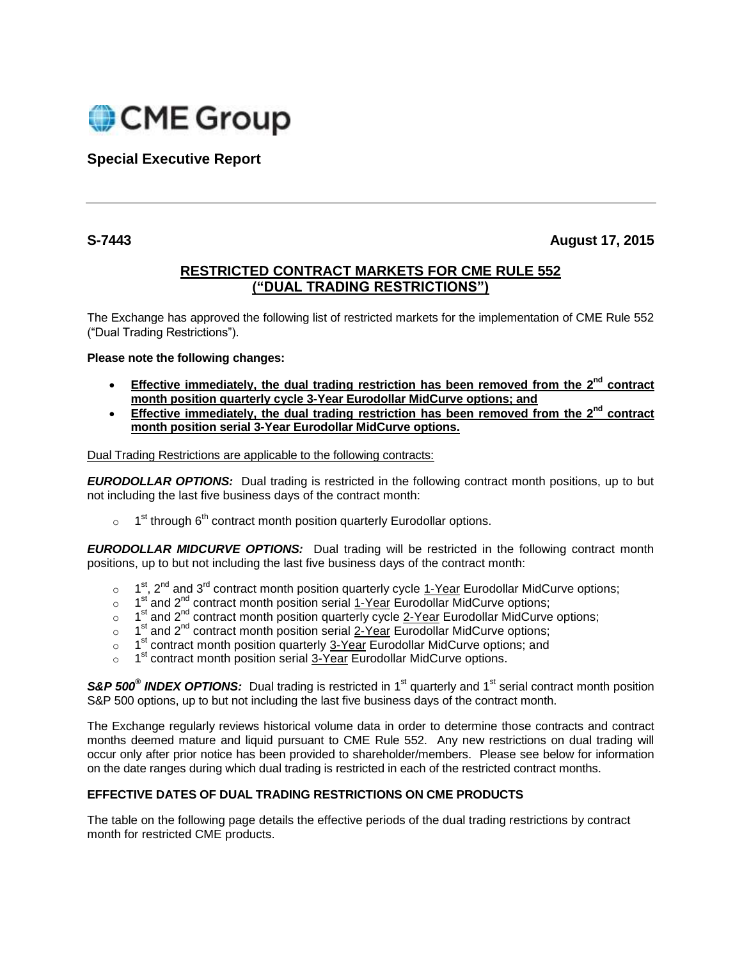

**Special Executive Report**

**S-7443 August 17, 2015**

## **RESTRICTED CONTRACT MARKETS FOR CME RULE 552 ("DUAL TRADING RESTRICTIONS")**

The Exchange has approved the following list of restricted markets for the implementation of CME Rule 552 ("Dual Trading Restrictions").

## **Please note the following changes:**

- **•** Effective immediately, the dual trading restriction has been removed from the 2<sup>nd</sup> contract **month position quarterly cycle 3-Year Eurodollar MidCurve options; and**
- **Effective immediately, the dual trading restriction has been removed from the 2nd contract month position serial 3-Year Eurodollar MidCurve options.**

Dual Trading Restrictions are applicable to the following contracts:

*EURODOLLAR OPTIONS:*Dual trading is restricted in the following contract month positions, up to but not including the last five business days of the contract month:

 $\circ$  1<sup>st</sup> through 6<sup>th</sup> contract month position quarterly Eurodollar options.

*EURODOLLAR MIDCURVE OPTIONS:*Dual trading will be restricted in the following contract month positions, up to but not including the last five business days of the contract month:

- $\circ$  1<sup>st</sup>, 2<sup>nd</sup> and 3<sup>rd</sup> contract month position quarterly cycle 1-Year Eurodollar MidCurve options;
- $\circ$  1<sup>st</sup> and 2<sup>nd</sup> contract month position serial 1-Year Eurodollar MidCurve options;
- $\circ$  1<sup>st</sup> and 2<sup>nd</sup> contract month position quarterly cycle 2-Year Eurodollar MidCurve options;
- $\circ$  1<sup>st</sup> and 2<sup>nd</sup> contract month position serial 2-Year Eurodollar MidCurve options;
- o 1 1<sup>st</sup> contract month position quarterly 3-Year Eurodollar MidCurve options; and
- $\circ$  1<sup>st</sup> contract month position serial 3-Year Eurodollar MidCurve options.

S&P 500<sup>®</sup> INDEX OPTIONS: Dual trading is restricted in 1<sup>st</sup> quarterly and 1<sup>st</sup> serial contract month position S&P 500 options, up to but not including the last five business days of the contract month.

The Exchange regularly reviews historical volume data in order to determine those contracts and contract months deemed mature and liquid pursuant to CME Rule 552. Any new restrictions on dual trading will occur only after prior notice has been provided to shareholder/members. Please see below for information on the date ranges during which dual trading is restricted in each of the restricted contract months.

## **EFFECTIVE DATES OF DUAL TRADING RESTRICTIONS ON CME PRODUCTS**

The table on the following page details the effective periods of the dual trading restrictions by contract month for restricted CME products.